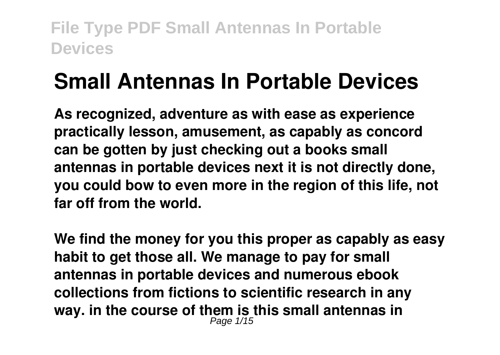# **Small Antennas In Portable Devices**

**As recognized, adventure as with ease as experience practically lesson, amusement, as capably as concord can be gotten by just checking out a books small antennas in portable devices next it is not directly done, you could bow to even more in the region of this life, not far off from the world.**

**We find the money for you this proper as capably as easy habit to get those all. We manage to pay for small antennas in portable devices and numerous ebook collections from fictions to scientific research in any way. in the course of them is this small antennas in** Page 1/15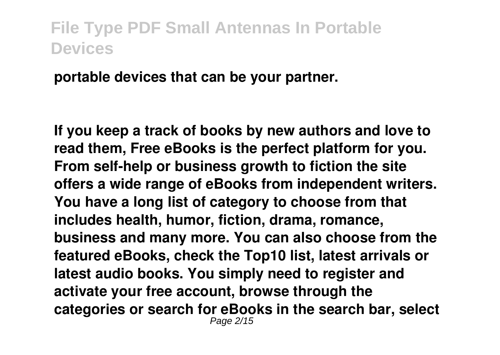**portable devices that can be your partner.**

**If you keep a track of books by new authors and love to read them, Free eBooks is the perfect platform for you. From self-help or business growth to fiction the site offers a wide range of eBooks from independent writers. You have a long list of category to choose from that includes health, humor, fiction, drama, romance, business and many more. You can also choose from the featured eBooks, check the Top10 list, latest arrivals or latest audio books. You simply need to register and activate your free account, browse through the categories or search for eBooks in the search bar, select** Page 2/15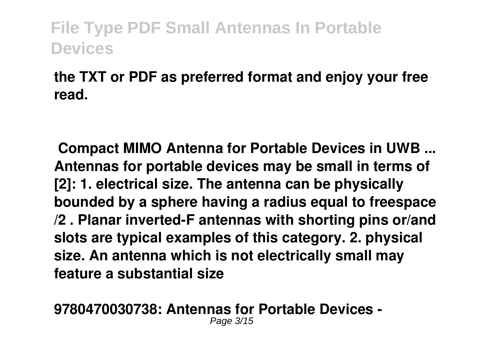**the TXT or PDF as preferred format and enjoy your free read.**

**Compact MIMO Antenna for Portable Devices in UWB ... Antennas for portable devices may be small in terms of [2]: 1. electrical size. The antenna can be physically bounded by a sphere having a radius equal to freespace /2 . Planar inverted-F antennas with shorting pins or/and slots are typical examples of this category. 2. physical size. An antenna which is not electrically small may feature a substantial size**

**9780470030738: Antennas for Portable Devices -** Page 3/15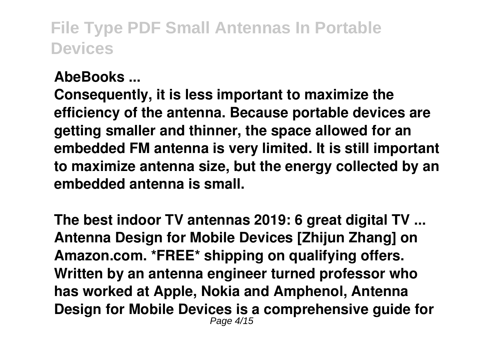#### **AbeBooks ...**

**Consequently, it is less important to maximize the efficiency of the antenna. Because portable devices are getting smaller and thinner, the space allowed for an embedded FM antenna is very limited. It is still important to maximize antenna size, but the energy collected by an embedded antenna is small.**

**The best indoor TV antennas 2019: 6 great digital TV ... Antenna Design for Mobile Devices [Zhijun Zhang] on Amazon.com. \*FREE\* shipping on qualifying offers. Written by an antenna engineer turned professor who has worked at Apple, Nokia and Amphenol, Antenna Design for Mobile Devices is a comprehensive guide for** Page 4/15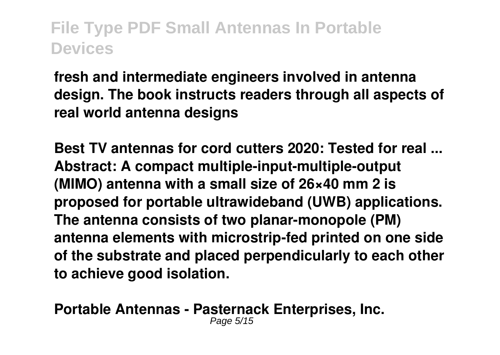**fresh and intermediate engineers involved in antenna design. The book instructs readers through all aspects of real world antenna designs**

**Best TV antennas for cord cutters 2020: Tested for real ... Abstract: A compact multiple-input-multiple-output (MIMO) antenna with a small size of 26×40 mm 2 is proposed for portable ultrawideband (UWB) applications. The antenna consists of two planar-monopole (PM) antenna elements with microstrip-fed printed on one side of the substrate and placed perpendicularly to each other to achieve good isolation.**

**Portable Antennas - Pasternack Enterprises, Inc.** Page 5/15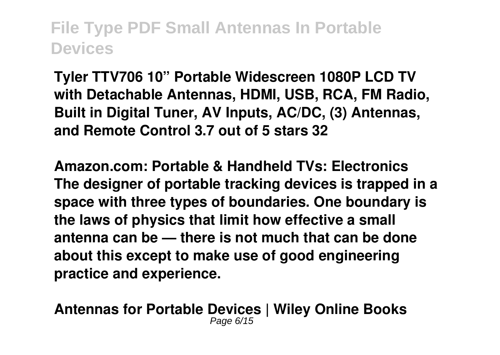**Tyler TTV706 10" Portable Widescreen 1080P LCD TV with Detachable Antennas, HDMI, USB, RCA, FM Radio, Built in Digital Tuner, AV Inputs, AC/DC, (3) Antennas, and Remote Control 3.7 out of 5 stars 32**

**Amazon.com: Portable & Handheld TVs: Electronics The designer of portable tracking devices is trapped in a space with three types of boundaries. One boundary is the laws of physics that limit how effective a small antenna can be — there is not much that can be done about this except to make use of good engineering practice and experience.**

**Antennas for Portable Devices | Wiley Online Books** Page 6/15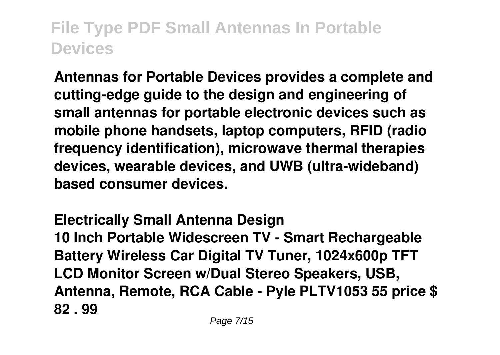**Antennas for Portable Devices provides a complete and cutting-edge guide to the design and engineering of small antennas for portable electronic devices such as mobile phone handsets, laptop computers, RFID (radio frequency identification), microwave thermal therapies devices, wearable devices, and UWB (ultra-wideband) based consumer devices.**

**Electrically Small Antenna Design 10 Inch Portable Widescreen TV - Smart Rechargeable Battery Wireless Car Digital TV Tuner, 1024x600p TFT LCD Monitor Screen w/Dual Stereo Speakers, USB, Antenna, Remote, RCA Cable - Pyle PLTV1053 55 price \$ 82 . 99**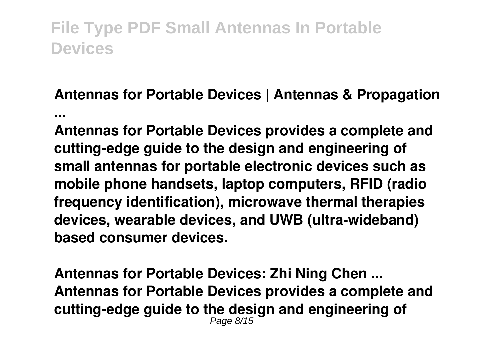#### **Antennas for Portable Devices | Antennas & Propagation ...**

**Antennas for Portable Devices provides a complete and cutting-edge guide to the design and engineering of small antennas for portable electronic devices such as mobile phone handsets, laptop computers, RFID (radio frequency identification), microwave thermal therapies devices, wearable devices, and UWB (ultra-wideband) based consumer devices.**

**Antennas for Portable Devices: Zhi Ning Chen ... Antennas for Portable Devices provides a complete and cutting-edge guide to the design and engineering of** Page 8/15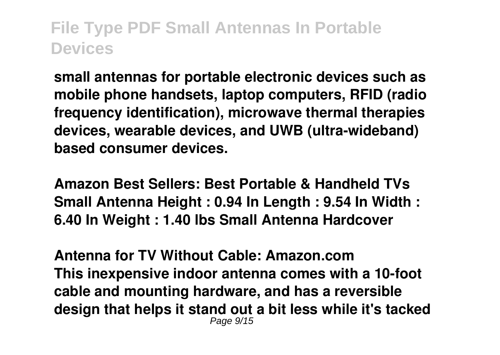**small antennas for portable electronic devices such as mobile phone handsets, laptop computers, RFID (radio frequency identification), microwave thermal therapies devices, wearable devices, and UWB (ultra-wideband) based consumer devices.**

**Amazon Best Sellers: Best Portable & Handheld TVs Small Antenna Height : 0.94 In Length : 9.54 In Width : 6.40 In Weight : 1.40 lbs Small Antenna Hardcover**

**Antenna for TV Without Cable: Amazon.com This inexpensive indoor antenna comes with a 10-foot cable and mounting hardware, and has a reversible design that helps it stand out a bit less while it's tacked** Page 9/15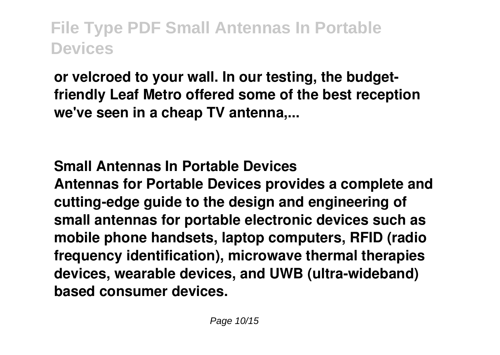**or velcroed to your wall. In our testing, the budgetfriendly Leaf Metro offered some of the best reception we've seen in a cheap TV antenna,...**

#### **Small Antennas In Portable Devices**

**Antennas for Portable Devices provides a complete and cutting-edge guide to the design and engineering of small antennas for portable electronic devices such as mobile phone handsets, laptop computers, RFID (radio frequency identification), microwave thermal therapies devices, wearable devices, and UWB (ultra-wideband) based consumer devices.**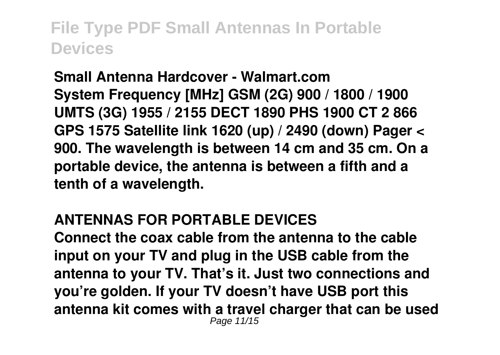**Small Antenna Hardcover - Walmart.com System Frequency [MHz] GSM (2G) 900 / 1800 / 1900 UMTS (3G) 1955 / 2155 DECT 1890 PHS 1900 CT 2 866 GPS 1575 Satellite link 1620 (up) / 2490 (down) Pager < 900. The wavelength is between 14 cm and 35 cm. On a portable device, the antenna is between a fifth and a tenth of a wavelength.**

#### **ANTENNAS FOR PORTABLE DEVICES**

**Connect the coax cable from the antenna to the cable input on your TV and plug in the USB cable from the antenna to your TV. That's it. Just two connections and you're golden. If your TV doesn't have USB port this antenna kit comes with a travel charger that can be used** Page 11/15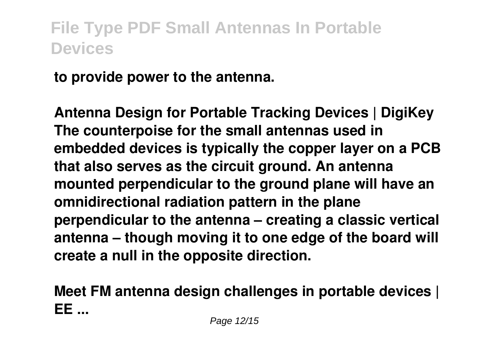**to provide power to the antenna.**

**Antenna Design for Portable Tracking Devices | DigiKey The counterpoise for the small antennas used in embedded devices is typically the copper layer on a PCB that also serves as the circuit ground. An antenna mounted perpendicular to the ground plane will have an omnidirectional radiation pattern in the plane perpendicular to the antenna – creating a classic vertical antenna – though moving it to one edge of the board will create a null in the opposite direction.**

**Meet FM antenna design challenges in portable devices | EE ...**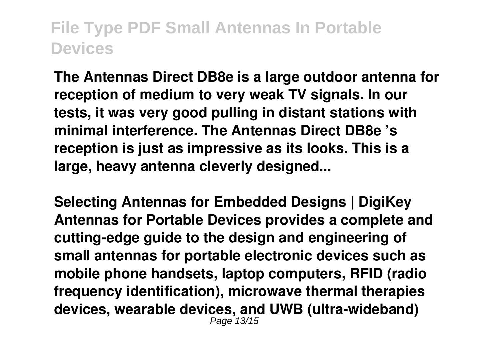**The Antennas Direct DB8e is a large outdoor antenna for reception of medium to very weak TV signals. In our tests, it was very good pulling in distant stations with minimal interference. The Antennas Direct DB8e 's reception is just as impressive as its looks. This is a large, heavy antenna cleverly designed...**

**Selecting Antennas for Embedded Designs | DigiKey Antennas for Portable Devices provides a complete and cutting-edge guide to the design and engineering of small antennas for portable electronic devices such as mobile phone handsets, laptop computers, RFID (radio frequency identification), microwave thermal therapies devices, wearable devices, and UWB (ultra-wideband)** Page 13/15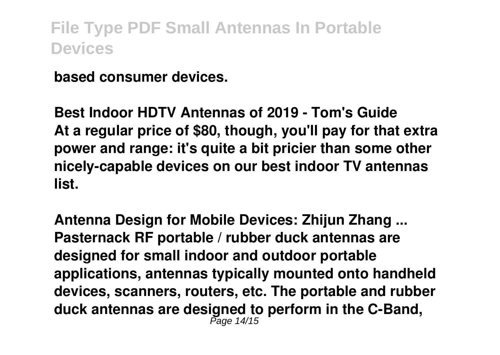**based consumer devices.**

**Best Indoor HDTV Antennas of 2019 - Tom's Guide At a regular price of \$80, though, you'll pay for that extra power and range: it's quite a bit pricier than some other nicely-capable devices on our best indoor TV antennas list.**

**Antenna Design for Mobile Devices: Zhijun Zhang ... Pasternack RF portable / rubber duck antennas are designed for small indoor and outdoor portable applications, antennas typically mounted onto handheld devices, scanners, routers, etc. The portable and rubber duck antennas are designed to perform in the C-Band,** Page 14/15